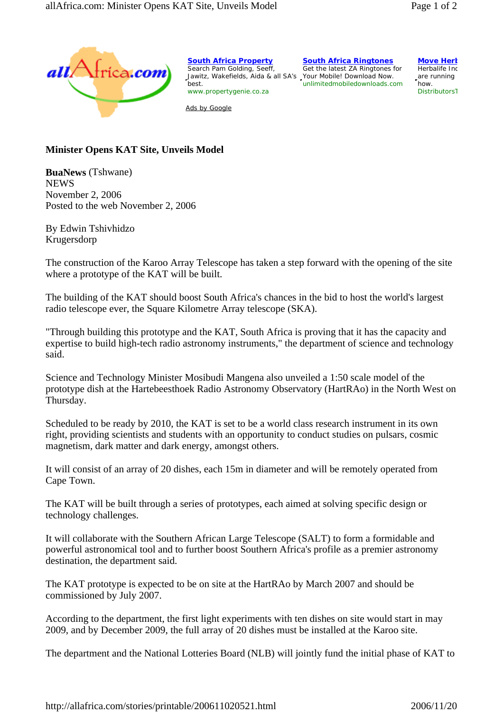

**South Africa Property** Search Pam Golding, Seeff, Jawitz, Wakefields, Aida & all SA's Your Mobile! Download Now. best. www.propertygenie.co.za

Ads by Google

**South Africa Ringtones** Get the latest ZA Ringtones for unlimitedmobiledownloads.com **Move Herk** 

Herbalife Inc are running how. DistributorsT

## **Minister Opens KAT Site, Unveils Model**

**BuaNews** (Tshwane) **NEWS** November 2, 2006 Posted to the web November 2, 2006

By Edwin Tshivhidzo Krugersdorp

The construction of the Karoo Array Telescope has taken a step forward with the opening of the site where a prototype of the KAT will be built.

The building of the KAT should boost South Africa's chances in the bid to host the world's largest radio telescope ever, the Square Kilometre Array telescope (SKA).

"Through building this prototype and the KAT, South Africa is proving that it has the capacity and expertise to build high-tech radio astronomy instruments," the department of science and technology said.

Science and Technology Minister Mosibudi Mangena also unveiled a 1:50 scale model of the prototype dish at the Hartebeesthoek Radio Astronomy Observatory (HartRAo) in the North West on Thursday.

Scheduled to be ready by 2010, the KAT is set to be a world class research instrument in its own right, providing scientists and students with an opportunity to conduct studies on pulsars, cosmic magnetism, dark matter and dark energy, amongst others.

It will consist of an array of 20 dishes, each 15m in diameter and will be remotely operated from Cape Town.

The KAT will be built through a series of prototypes, each aimed at solving specific design or technology challenges.

It will collaborate with the Southern African Large Telescope (SALT) to form a formidable and powerful astronomical tool and to further boost Southern Africa's profile as a premier astronomy destination, the department said.

The KAT prototype is expected to be on site at the HartRAo by March 2007 and should be commissioned by July 2007.

According to the department, the first light experiments with ten dishes on site would start in may 2009, and by December 2009, the full array of 20 dishes must be installed at the Karoo site.

The department and the National Lotteries Board (NLB) will jointly fund the initial phase of KAT to